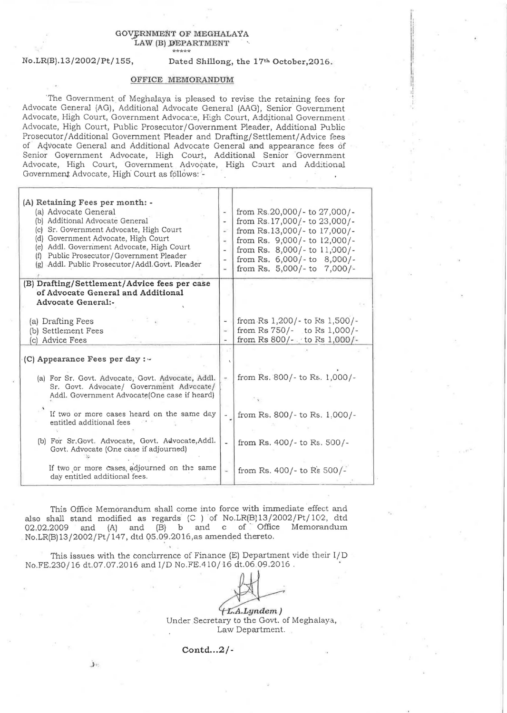## GOVERNMENT OF MEGHALAYA LAW (B) DEPARTMENT \*\*\*\*\*

No.LR(B).13/2002/Pt/155, Dated Shillong, the 17th October,2016.

i  $\mathbb{I}$  !

## OFFICE MEMORANDUM

'The Government of Meghalaya is pleased to revise the retaining fees for Advocate General (AG), Additional Advocate General (AAG) , Senior Government Advocate, High Court, Government Advocate, High Court, Additional Government Advocate, High Court, Public Prosecutor/Government Pleader, Additional Public Prosecutor / Additional Government Pleader and Drafting/ Settlement/ Advice fees of Advocate General and Additional Advocate General and appearance fees of Senior Government Advocate, High Court, Additional Senior 'Government Advocate, High Court, Government Advocate, High Court and Additional Government Advocate, High Court as follows: -

| (A) Retaining Fees per month: -<br>(a) Advocate General<br>(b) Additional Advocate General<br>Sr. Government Advocate, High Court<br>(c)<br>Government Advocate, High Court<br>(d)<br>(e) Addl. Government Advocate, High Court<br>Public Prosecutor/Government Pleader<br>(f)<br>(g) Addl. Public Prosecutor/Addl.Govt. Pleader | $\qquad \qquad$<br>R<br>$\overline{\phantom{a}}$ | from Rs.20,000/- to 27,000/-<br>from Rs. 17,000/- to 23,000/-<br>from Rs.13,000/- to 17,000/-<br>from Rs. 9,000/- to 12,000/-<br>from Rs. 8,000/- to 11,000/-<br>from Rs. 6,000/- to 8,000/-<br>from Rs. $5,000/-$ to $7,000/-$ |
|----------------------------------------------------------------------------------------------------------------------------------------------------------------------------------------------------------------------------------------------------------------------------------------------------------------------------------|--------------------------------------------------|---------------------------------------------------------------------------------------------------------------------------------------------------------------------------------------------------------------------------------|
| (B) Drafting/Settlement/Advice fees per case<br>of Advocate General and Additional<br>Advocate General:-                                                                                                                                                                                                                         |                                                  |                                                                                                                                                                                                                                 |
| (a) Drafting Fees<br>(b) Settlement Fees<br>Advice Fees<br>(C)                                                                                                                                                                                                                                                                   | w.                                               | from Rs 1,200/- to Rs 1,500/-<br>from Rs 750/- to Rs 1,000/-<br>from Rs 800/- to Rs 1,000/-                                                                                                                                     |
| (C) Appearance Fees per day : -                                                                                                                                                                                                                                                                                                  |                                                  |                                                                                                                                                                                                                                 |
| (a) For Sr. Govt. Advocate, Govt. Advocate, Addl.<br>Sr. Govt. Advocate/ Government Advccate/<br>Addl. Government Advocate (One case if heard)                                                                                                                                                                                   | ÷.                                               | from Rs. 800/- to Rs. 1,000/-                                                                                                                                                                                                   |
| If two or more cases heard on the same day<br>entitled additional fees                                                                                                                                                                                                                                                           |                                                  | from Rs. $800/-$ to Rs. 1,000/-                                                                                                                                                                                                 |
| (b) For Sr. Govt. Advocate, Govt. Advocate, Addl.<br>Govt. Advocate (One case if adjourned)                                                                                                                                                                                                                                      |                                                  | from Rs. $400/-$ to Rs. $500/-$                                                                                                                                                                                                 |
| If two or more cases, adjourned on the same<br>day entitled additional fees.                                                                                                                                                                                                                                                     | ù                                                | from Rs. 400/- to Rs $500/-$                                                                                                                                                                                                    |

This Office Memorandum shall come into force with immediate effect and also shall stand modified as regards (C ) of No.LR(B)13/2002/Pt/102, dtd also shall stand modified as regards  $(C)$  or No.  $L_1(L)$  107, 2002/11/102, did 02.02.2009 and (A) and (B) b and c of Office Memorandum

No.LR(B)13/2002/Pt/147, dtd 05.09.2016,as amended thereto.<br>
This issues with the concurrence of Finance (E) Department vide their I/D<br>
No.FE.230/16 dt.07.07.2016 and I/D No.FE.410/16 dt.06.09.2016. This issues with the concurrence of Finance (E) Department vide their I/D<br>No.FE.230/16 dt.07.07.2016 and I/D No.FE.410/16 dt.06.09.2016.

 $(L.A.Lyndem)$ Under Secretary to the Govt. of Meghalaya., Law Department.

 $\text{Contd} \ldots 2$ /-

.J.